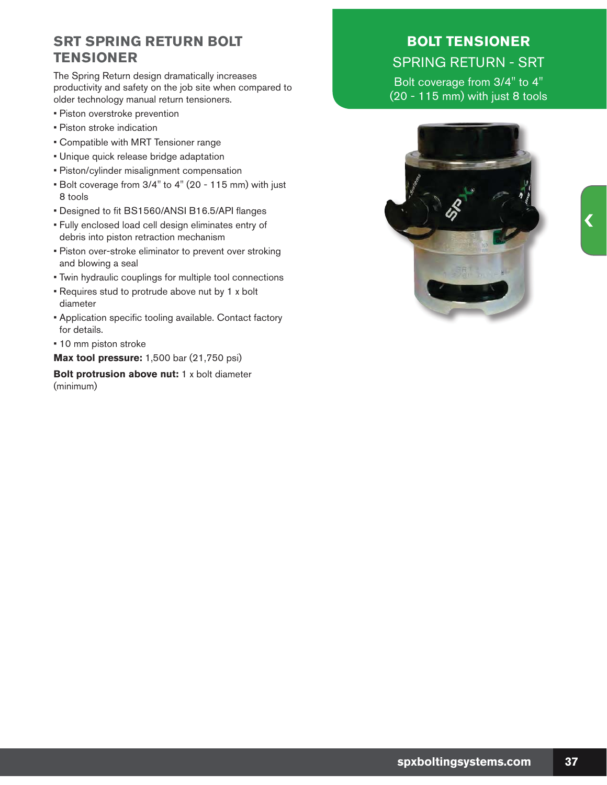## **SRT SPRING RETURN BOLT TENSIONER**

The Spring Return design dramatically increases productivity and safety on the job site when compared to older technology manual return tensioners.

- Piston overstroke prevention
- Piston stroke indication
- Compatible with MRT Tensioner range
- Unique quick release bridge adaptation
- Piston/cylinder misalignment compensation
- Bolt coverage from 3/4" to 4" (20 115 mm) with just 8 tools
- Designed to fit BS1560/ANSI B16.5/API flanges
- Fully enclosed load cell design eliminates entry of debris into piston retraction mechanism
- Piston over-stroke eliminator to prevent over stroking and blowing a seal
- Twin hydraulic couplings for multiple tool connections
- Requires stud to protrude above nut by 1 x bolt diameter
- Application specific tooling available. Contact factory for details.
- 10 mm piston stroke

**Max tool pressure:** 1,500 bar (21,750 psi)

**Bolt protrusion above nut:** 1 x bolt diameter (minimum)

## **BOLT TENSIONER**  SPRING RETURN - SRT

Bolt coverage from 3/4" to 4" (20 - 115 mm) with just 8 tools

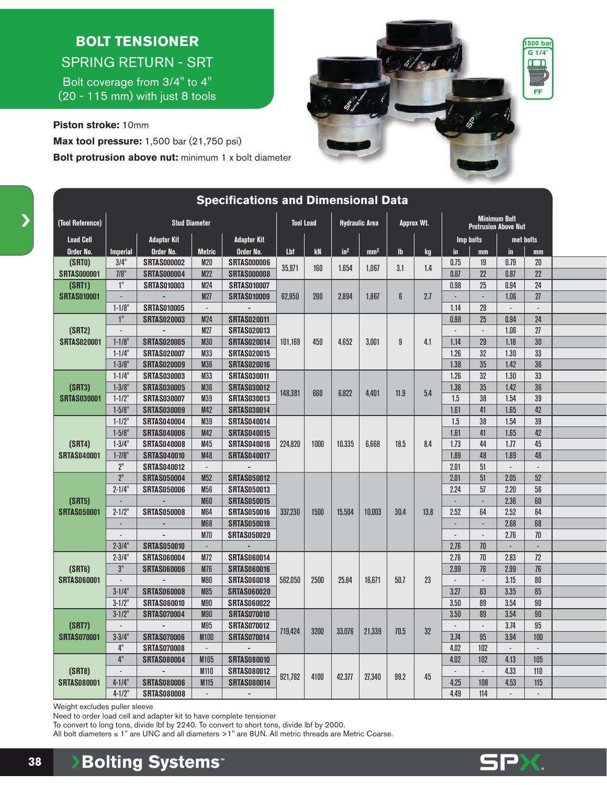## **BOLT TENSIONER**  SPRING RETURN - SRT

Bolt coverage from 3/4" to 4" (20 - 115 mm) with just 8 tools

**Piston stroke:** 10mm **Max tool pressure:** 1,500 bar (21,750 psi) **Bolt protrusion above nut:** minimum 1 x bolt diameter



|                                          |                                    |                          |                                                                                                                         | <b>Specifications and Dimensional Data</b> |                                           |      |                 |                 |                                                    |           |                          |                 |                          |                                                                                                                       |  |
|------------------------------------------|------------------------------------|--------------------------|-------------------------------------------------------------------------------------------------------------------------|--------------------------------------------|-------------------------------------------|------|-----------------|-----------------|----------------------------------------------------|-----------|--------------------------|-----------------|--------------------------|-----------------------------------------------------------------------------------------------------------------------|--|
| (Tool Reference)<br><b>Stud Diameter</b> |                                    |                          |                                                                                                                         |                                            | <b>Tool Load</b><br><b>Hydraulic Area</b> |      |                 | Approx Wt.      | <b>Minimum Bolt</b><br><b>Protrusion Above Nut</b> |           |                          |                 |                          |                                                                                                                       |  |
| <b>Load Cell</b>                         |                                    | <b>Adaptor Kit</b>       |                                                                                                                         | <b>Adaptor Kit</b>                         |                                           |      |                 |                 |                                                    |           |                          | Imp bolts       |                          | met bolts                                                                                                             |  |
| Order No.                                | <b>Imperial</b>                    | Order No.                | <b>Metric</b>                                                                                                           | Order No.                                  | Lbf                                       | kN   | in <sup>2</sup> | mm <sup>2</sup> | $\mathbf{h}$                                       | <b>kg</b> | in                       | mm              | in                       | mm                                                                                                                    |  |
| (SRT0)                                   | 3/4"                               | <b>SRTAS000002</b>       | <b>M20</b>                                                                                                              | <b>SRTAS000006</b>                         | 35,971                                    | 160  | 1.654           | 1.067           | 3.1                                                |           | 0.75                     | 19              | 0.79                     | 20                                                                                                                    |  |
| <b>SRTAS000001</b>                       | 7/8                                | <b>SRTAS000004</b>       | M22                                                                                                                     | <b>SRTAS000008</b>                         |                                           |      |                 |                 |                                                    | 1.4       | 0.87                     | 22              | 0.87                     | 22                                                                                                                    |  |
| (SRT1)                                   | 1"                                 | <b>SRTAS010003</b>       | <b>M24</b>                                                                                                              | <b>SRTAS010007</b>                         |                                           |      |                 |                 |                                                    |           | 0.98                     | 25              | 0.94                     | 24                                                                                                                    |  |
| <b>SRTAS010001</b>                       | $\overline{\phantom{a}}$           |                          | <b>M27</b>                                                                                                              | <b>SRTAS010009</b>                         | 62,950                                    | 280  | 2.894           | 1.867           | 6                                                  | 2.7       | $\overline{\phantom{a}}$ | $\Box$          | 1.06                     | 27                                                                                                                    |  |
|                                          | $1 - 1/8$                          | <b>SRTAS010005</b>       | $\omega$                                                                                                                |                                            |                                           |      |                 |                 |                                                    |           | 1.14                     | 29              | $\mathbb{Z}^2$           | $\overline{a}$                                                                                                        |  |
|                                          | 1 <sup>n</sup>                     | <b>SRTAS020003</b>       | <b>M24</b>                                                                                                              | <b>SRTAS020011</b>                         |                                           |      |                 |                 |                                                    |           | 0.98                     | 25              | 0.94                     | 24                                                                                                                    |  |
| (SRT2)                                   | $\blacksquare$                     | $\overline{\phantom{a}}$ | M27                                                                                                                     | <b>SRTAS020013</b>                         |                                           |      |                 |                 |                                                    |           | $\blacksquare$           | $\Box$          | 1.06                     | 27                                                                                                                    |  |
| <b>SRTAS020001</b>                       | $1 - 1/8$                          | <b>SRTAS020005</b>       | <b>M30</b>                                                                                                              | <b>SRTAS020014</b>                         | 101.169                                   | 450  | 4.652           | 3.001           | 9                                                  | 4.1       | 1.14                     | 29              | 1.18                     | 30                                                                                                                    |  |
|                                          | $1 - 1/4$                          | <b>SRTAS020007</b>       | M33                                                                                                                     | <b>SRTAS020015</b>                         |                                           |      |                 |                 |                                                    |           | 1.26                     | 32              | 1.30                     |                                                                                                                       |  |
|                                          | $1 - 3/8$ "                        | <b>SRTAS020009</b>       | <b>M36</b>                                                                                                              | <b>SRTAS020016</b>                         |                                           |      |                 |                 |                                                    |           | 1.38                     | 35              | 1.42                     |                                                                                                                       |  |
|                                          | $1 - 1/4$                          | <b>SRTAS030003</b>       | M33                                                                                                                     | <b>SRTAS030011</b>                         |                                           | 660  | 6.822           | 4,401           | 11.9                                               | 5.4       | 1.26                     | $\overline{32}$ | 1.30                     |                                                                                                                       |  |
| (SRT3)                                   | $1 - 3/8$ "                        | <b>SRTAS030005</b>       | <b>M36</b>                                                                                                              | <b>SRTAS030012</b>                         | 148.381                                   |      |                 |                 |                                                    |           | 1.38                     | 35              | 1.42                     |                                                                                                                       |  |
| <b>SRTAS030001</b>                       | $1 - 1/2$ "                        | <b>SRTAS030007</b>       | M39<br><b>SRTAS030013</b><br><b>M42</b><br><b>SRTAS030014</b><br>M39<br><b>SRTAS040014</b><br>M42<br><b>SRTAS040015</b> |                                            |                                           |      |                 |                 |                                                    | 1.5       | 38                       | 1.54            |                          |                                                                                                                       |  |
|                                          | $1 - 5/8$ "                        | <b>SRTAS030009</b>       |                                                                                                                         |                                            |                                           |      |                 |                 |                                                    |           | 1.61                     | 41              | 1.65                     |                                                                                                                       |  |
|                                          | $1 - 1/2$                          | <b>SRTAS040004</b>       |                                                                                                                         |                                            |                                           |      |                 |                 |                                                    |           | 1.5                      | 38              | 1.54                     |                                                                                                                       |  |
|                                          | $1 - 5/8$ "                        | <b>SRTAS040006</b>       |                                                                                                                         |                                            |                                           |      |                 |                 |                                                    |           | 1.61                     | 41              | 1.65                     |                                                                                                                       |  |
| (SRT4)                                   | $1 - 3/4"$                         | <b>SRTAS040008</b>       | M45                                                                                                                     | <b>SRTAS040016</b>                         | 224,820                                   | 1000 | 10.335          | 6,668           | 18.5                                               | 8.4       | 1.73                     | 44              | 1.77                     |                                                                                                                       |  |
| <b>SRTAS040001</b>                       | $1 - 7/8$ "                        | <b>SRTAS040010</b>       | <b>M48</b>                                                                                                              | <b>SRTAS040017</b>                         |                                           |      |                 |                 |                                                    |           | 1.89                     | 48              | 1.89                     | 33<br>36<br>33<br>36<br>39<br>42<br>$\overline{39}$<br>42<br>45<br>48<br>52<br>56<br>60<br>64<br>68<br>70<br>÷,<br>72 |  |
|                                          | $2^{\scriptscriptstyle\mathsf{H}}$ | <b>SRTAS040012</b>       | $\blacksquare$                                                                                                          |                                            |                                           |      |                 |                 |                                                    |           | 2.01                     | 51              |                          |                                                                                                                       |  |
|                                          | 2 <sup>n</sup>                     | <b>SRTAS050004</b>       | M <sub>52</sub>                                                                                                         | <b>SRTAS050012</b>                         |                                           |      |                 |                 |                                                    |           | 2.01                     | 51              | 2.05                     |                                                                                                                       |  |
|                                          | $2 - 1/4"$                         | <b>SRTAS050006</b>       | M56                                                                                                                     | <b>SRTAS050013</b>                         |                                           |      |                 |                 |                                                    |           | 2.24                     | 57              | 2.20                     |                                                                                                                       |  |
| (SRT5)                                   | ÷,                                 |                          | <b>M60</b>                                                                                                              | <b>SRTAS050015</b>                         |                                           |      |                 |                 |                                                    |           | ÷,                       | ÷,              | 2.36                     |                                                                                                                       |  |
| <b>SRTAS050001</b>                       | $2 - 1/2$                          | <b>SRTAS050008</b>       | M64                                                                                                                     | <b>SRTAS050016</b>                         | 337,230                                   | 1500 | 15,504          | 10,003          | 30.4                                               | 13.8      | 2.52                     | 64              | 2.52                     |                                                                                                                       |  |
|                                          | $\mathbb{Z}^2$                     |                          | <b>M68</b>                                                                                                              | <b>SRTAS050018</b>                         |                                           |      |                 |                 |                                                    |           | ÷,                       | ÷.              | 2.68                     |                                                                                                                       |  |
|                                          | $\blacksquare$                     |                          | <b>M70</b>                                                                                                              | <b>SRTAS050020</b>                         |                                           |      |                 |                 |                                                    |           | $\overline{a}$           | $\overline{a}$  | 2.76                     |                                                                                                                       |  |
|                                          | $2 - 3/4"$                         | <b>SRTAS050010</b>       | $\Box$                                                                                                                  | ÷,                                         |                                           |      |                 |                 |                                                    |           | 2.76                     | 70              | ä,                       |                                                                                                                       |  |
|                                          | $2 - 3/4"$                         | <b>SRTAS060004</b>       | M72                                                                                                                     | <b>SRTAS060014</b>                         |                                           |      |                 |                 |                                                    |           | 2.76                     | 70              | 2.83                     |                                                                                                                       |  |
| (SRT6)                                   | 3"                                 | <b>SRTAS060006</b>       | <b>M76</b>                                                                                                              | <b>SRTAS060016</b>                         |                                           |      |                 |                 |                                                    |           | 2.99                     | 76              | 2.99                     | 76                                                                                                                    |  |
| <b>SRTAS060001</b>                       | $\Box$                             |                          | <b>M80</b>                                                                                                              | <b>SRTAS060018</b>                         | 562,050                                   | 2500 | 25.84           | 16,671          | 50.7                                               | 23        | $\mathcal{L}$            | $\mathcal{L}$   | 3.15                     | $80\,$                                                                                                                |  |
|                                          | $3 - 1/4"$                         | <b>SRTAS060008</b>       | <b>M85</b>                                                                                                              | <b>SRTAS060020</b>                         |                                           |      |                 |                 |                                                    |           | 3.27                     | 83              | 3.35                     | $\overline{85}$                                                                                                       |  |
|                                          | $3 - 1/2$                          | <b>SRTAS060010</b>       | <b>M90</b>                                                                                                              | <b>SRTAS060022</b>                         |                                           |      |                 |                 |                                                    |           | 3.50                     | 89              | 3.54                     | 90                                                                                                                    |  |
|                                          | $3 - 1/2$                          | <b>SRTAS070004</b>       | <b>M90</b>                                                                                                              | <b>SRTAS070010</b>                         |                                           | 3200 |                 | 21,339          | 70.5                                               |           | 3.50                     | 89              | 3.54                     | 90                                                                                                                    |  |
| (SRT7)                                   | $\overline{\phantom{a}}$           |                          | M95                                                                                                                     | <b>SRTAS070012</b>                         | 719,424                                   |      | 33.076          |                 |                                                    | 32        | $\overline{a}$           | $\Box$          | 3.74                     | 95                                                                                                                    |  |
| <b>SRTAS070001</b>                       | $3 - 3/4"$                         | <b>SRTAS070006</b>       | <b>M100</b>                                                                                                             | <b>SRTAS070014</b>                         |                                           |      |                 |                 |                                                    |           | 3.74                     | 95              | 3.94                     | 100                                                                                                                   |  |
|                                          | 4"                                 | <b>SRTAS070008</b>       | $\blacksquare$                                                                                                          |                                            |                                           |      |                 |                 |                                                    |           | 4.02                     | 102             |                          |                                                                                                                       |  |
|                                          | 4"                                 | <b>SRTAS080004</b>       | M105                                                                                                                    | <b>SRTAS080010</b>                         |                                           |      |                 |                 |                                                    |           | 4.02                     | 102             | 4.13                     | 105                                                                                                                   |  |
| (SRT8)                                   | L.                                 | $\overline{a}$           | M110                                                                                                                    | <b>SRTAS080012</b>                         | 921,762                                   | 4100 | 42,377          | 27,340          | 99.2                                               | 45        | $\mathbb{Z}^2$           | ÷.              | 4.33                     | 110                                                                                                                   |  |
| <b>SRTAS080001</b>                       | $4 - 1/4$ "                        | <b>SRTAS080006</b>       | M115                                                                                                                    | <b>SRTAS080014</b>                         |                                           |      |                 |                 |                                                    |           | 4.25                     | 108             | 4.53                     | 115                                                                                                                   |  |
|                                          | $4 - 1/2$ "                        | <b>SRTAS080008</b>       | $\sim$                                                                                                                  | $\overline{\phantom{a}}$                   |                                           |      |                 |                 |                                                    |           | 4.49                     | 114             | $\overline{\phantom{a}}$ | $\sim$                                                                                                                |  |

Weight excludes puller sleeve

Need to order load cell and adapter kit to have complete tensioner

To convert to long tons, divide lbf by 2240. To convert to short tons, divide lbf by 2000.

All bolt diameters  $\leq 1"$  are UNC and all diameters  $>$  1" are 8UN. All metric threads are Metric Coarse.

**Bolting Systems® 38**